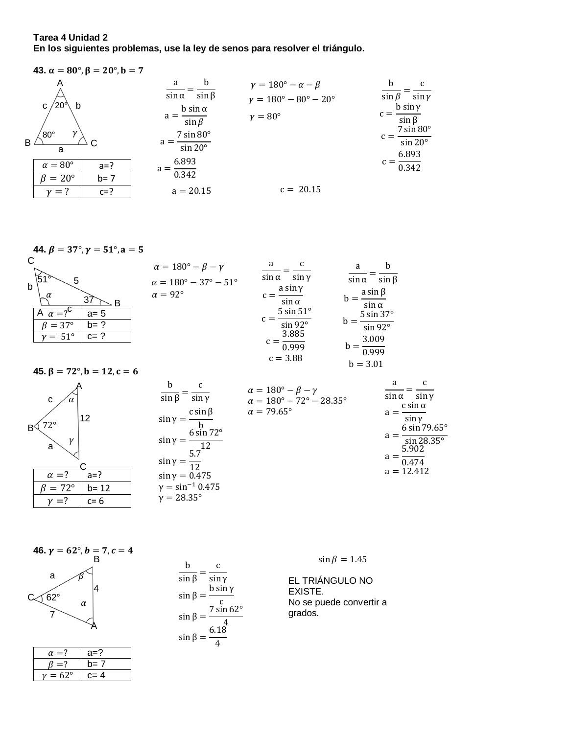**Tarea 4 Unidad 2** En los siguientes problemas, use la ley de senos para resolver el triángulo.

**43.** 
$$
\alpha = 80^\circ, \beta = 20^\circ, b = 7
$$
  
\nA  
\n $\alpha = 80^\circ, \beta = 20^\circ, b = 7$   
\nB  
\n $\alpha = 80^\circ$   
\nB  
\n $\alpha = 80^\circ$   
\nB  
\n $\alpha = 80^\circ$   
\n $\alpha = 80^\circ$   
\n $\alpha = 80^\circ$   
\n $\alpha = 7 \sin 80^\circ$   
\n $\alpha = \frac{5 \sin \alpha}{\sin \beta}$   
\n $\gamma = 180^\circ - \alpha - \beta$   
\n $\gamma = 180^\circ - \alpha - \beta$   
\n $\gamma = 180^\circ - \alpha - \beta$   
\n $\gamma = 180^\circ - \alpha - \beta$   
\n $\gamma = 180^\circ - \alpha - \beta$   
\n $\gamma = 180^\circ - \alpha - \beta$   
\n $\gamma = 180^\circ - \alpha - \beta$   
\n $\gamma = 180^\circ - \alpha - \beta$   
\n $\gamma = 180^\circ - \alpha - \beta$   
\n $\gamma = 180^\circ - \alpha - \beta$   
\n $\gamma = 180^\circ - \alpha - \beta$   
\n $\gamma = 180^\circ - \alpha - \beta$   
\n $\gamma = 180^\circ - \alpha - \beta$   
\n $\gamma = 180^\circ - \alpha - \beta$   
\n $\gamma = 180^\circ - \alpha - \beta$   
\n $\gamma = 180^\circ - \alpha - \beta$   
\n $\gamma = 180^\circ - \alpha - \beta$   
\n $\gamma = 180^\circ - \alpha - \beta$   
\n $\gamma = 180^\circ - \alpha - \beta$   
\n $\gamma = 180^\circ - \alpha - \beta$   
\n $\gamma = 180^\circ - \alpha - \beta$   
\n $\gamma = 180^\circ - \alpha - \beta$   
\n $\gamma = 180^\circ - \alpha - \beta$   
\n $\gamma = 180^\circ - \alpha - \beta$   
\n $\gamma =$ 

**44.** β = 37°, γ = 51°, a = 5  
\nC  
\n
$$
\alpha = 180° - β - γ
$$
  
\n $\alpha = 180° - 37° - 51°$   
\n $\alpha = 92°$   
\n**45.** β = 72°, b = 12, c = 6  
\n**46.**  $\alpha = 7°$   
\n**47.**  $\beta = 37°$   
\n**48.**  $\beta = 72°$ , b = 12, c = 6  
\n**49.**  $\alpha = 92°$   
\n**40.**  $\beta = 37°$   
\n**41.**  $\beta = 37°$   
\n**42.**  $\beta = 37°$   
\n**43.**  $\beta = 72°$ ,  $\beta = 12$ ,  $\alpha = 6$   
\n**45.**  $\beta = 72°$ ,  $\beta = 12$ ,  $\alpha = 6$   
\n**46.**  $\alpha = 7°$   
\n**47.**  $\beta = 3.01$   
\n**48.**  $\beta = 3.01$ 

$$
\frac{b}{\sin \beta} = \frac{c}{\sin \gamma} \qquad \alpha = 180^{\circ} - \beta - \gamma \qquad \frac{a}{\sin \alpha} = \frac{c}{\sin \gamma}
$$
  
\n2  
\n
$$
\sin \gamma = \frac{c \sin \beta}{b}
$$
\n
$$
\sin \gamma = \frac{6 \sin 72^{\circ}}{12}
$$
\n
$$
\sin \gamma = \frac{5.7}{12}
$$
\n
$$
\sin \gamma = 0.475
$$
\n
$$
\frac{b}{\sin \gamma} = 0.475
$$
\n
$$
\frac{b}{\sin \gamma} = 0.475
$$
\n
$$
\frac{b}{\cos \gamma} = 28.35^{\circ}
$$
\n
$$
\frac{b}{\cos \gamma} = 28.35^{\circ}
$$
\n
$$
\frac{b}{\cos \gamma} = 28.35^{\circ}
$$
\n
$$
\frac{b}{\cos \gamma} = 28.35^{\circ}
$$

46. 
$$
\gamma = 62^{\circ}, b = 7, c = 4
$$
  
\na  
\n $\beta$   
\nA

 $\mathbf C$ 

a

 $\alpha = ?$ 

 $\beta = 72^{\circ}$ 

 $\gamma = ?$ 

 $B\sqrt{72^\circ}$ 

 $|12$ 

 $a=?$ 

 $\gamma$ 

◁

| $\alpha = 7$   | $a=?$   |
|----------------|---------|
| $=$ ?          | $b=7$   |
| $= 62^{\circ}$ | $c = 4$ |

 $\mathbf b$  $\mathsf{C}$  $rac{b}{\sin \beta} = \frac{c}{\sin \gamma}$ <br>  $\sin \beta = \frac{b \sin \gamma}{c}$ <br>  $\sin \beta = \frac{7 \sin 62^{\circ}}{4}$ <br>  $\sin \beta = \frac{6.18}{4}$   $\sin\beta=1.45$ 

EL TRIÁNGULO NO EXISTE. No se puede convertir a grados.